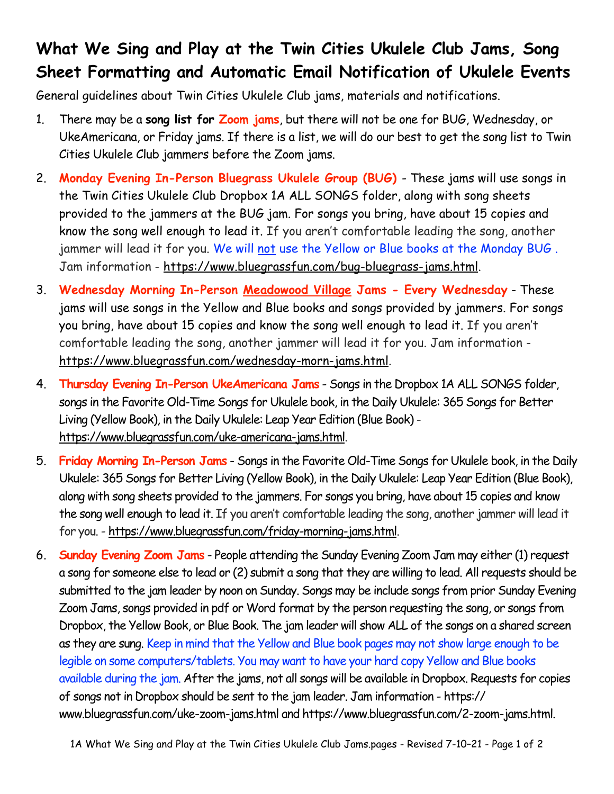## **What We Sing and Play at the Twin Cities Ukulele Club Jams, Song Sheet Formatting and Automatic Email Notification of Ukulele Events**

General guidelines about Twin Cities Ukulele Club jams, materials and notifications.

- 1. There may be a **song list for Zoom jams**, but there will not be one for BUG, Wednesday, or UkeAmericana, or Friday jams. If there is a list, we will do our best to get the song list to Twin Cities Ukulele Club jammers before the Zoom jams.
- 2. **Monday Evening In-Person Bluegrass Ukulele Group (BUG)**  These jams will use songs in the Twin Cities Ukulele Club Dropbox 1A ALL SONGS folder, along with song sheets provided to the jammers at the BUG jam. For songs you bring, have about 15 copies and know the song well enough to lead it. If you aren't comfortable leading the song, another jammer will lead it for you. We will not use the Yellow or Blue books at the Monday BUG . Jam information - [https://www.bluegrassfun.com/bug-bluegrass-jams.html.](https://www.bluegrassfun.com/bug-bluegrass-jams.html)
- 3. **Wednesday Morning In-Person Meadowood Village Jams Every Wednesday** These jams will use songs in the Yellow and Blue books and songs provided by jammers. For songs you bring, have about 15 copies and know the song well enough to lead it. If you aren't comfortable leading the song, another jammer will lead it for you. Jam information [https://www.bluegrassfun.com/wednesday-morn-jams.html.](https://www.bluegrassfun.com/wednesday-morn-jams.html)
- 4. **Thursday Evening In-Person UkeAmericana Jams** Songs in the Dropbox 1A ALL SONGS folder, songs in the Favorite Old-Time Songs for Ukulele book, in the Daily Ukulele: 365 Songs for Better Living (Yellow Book), in the Daily Ukulele: Leap Year Edition (Blue Book) [https://www.bluegrassfun.com/uke-americana-jams.html.](https://www.bluegrassfun.com/uke-americana-jams.html)
- 5. **Friday Morning In-Person Jams** Songs in the Favorite Old-Time Songs for Ukulele book, in the Daily Ukulele: 365 Songs for Better Living (Yellow Book), in the Daily Ukulele: Leap Year Edition (Blue Book), along with song sheets provided to the jammers. For songs you bring, have about 15 copies and know the song well enough to lead it. If you aren't comfortable leading the song, another jammer will lead it for you. - [https://www.bluegrassfun.com/friday-morning-jams.html.](https://www.bluegrassfun.com/friday-morning-jams.html)
- 6. **Sunday Evening Zoom Jams** People attending the Sunday Evening Zoom Jam may either (1) request a song for someone else to lead or (2) submit a song that they are willing to lead. All requests should be submitted to the jam leader by noon on Sunday. Songs may be include songs from prior Sunday Evening Zoom Jams, songs provided in pdf or Word format by the person requesting the song, or songs from Dropbox, the Yellow Book, or Blue Book. The jam leader will show ALL of the songs on a shared screen as they are sung. Keep in mind that the Yellow and Blue book pages may not show large enough to be legible on some computers/tablets. You may want to have your hard copy Yellow and Blue books available during the jam. After the jams, not all songs will be available in Dropbox. Requests for copies of songs not in Dropbox should be sent to the jam leader. Jam information - [https://](https://www.bluegrassfun.com/uke-zoom-jams.html) [www.bluegrassfun.com/uke-zoom-jams.html](https://www.bluegrassfun.com/uke-zoom-jams.html) and [https://www.bluegrassfun.com/2-zoom-jams.html.](https://www.bluegrassfun.com/2-zoom-jams.html)

1A What We Sing and Play at the Twin Cities Ukulele Club Jams.pages - Revised 7-10–21 - Page 1 of 2